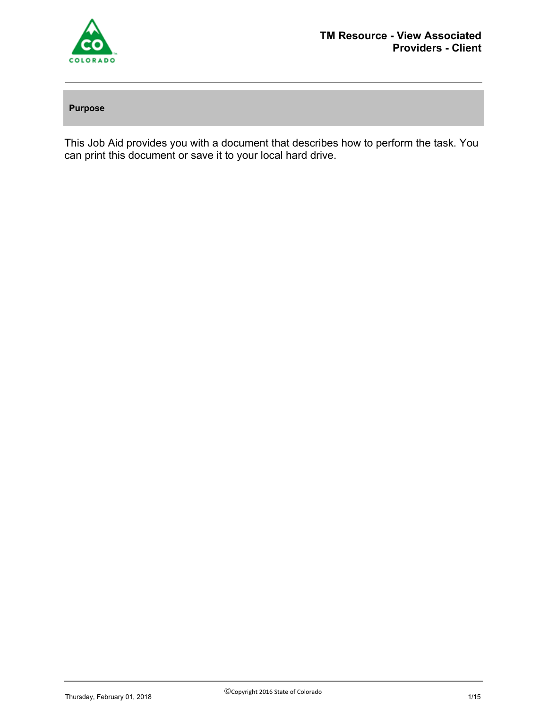

# **Purpose**

This Job Aid provides you with a document that describes how to perform the task. You can print this document or save it to your local hard drive.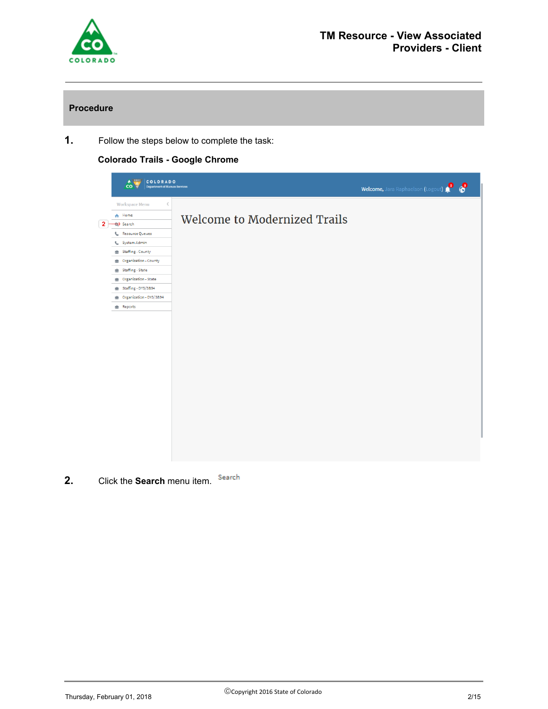

## **Procedure**

**1.** Follow the steps below to complete the task:

## **Colorado Trails - Google Chrome**

| $\frac{1}{100}$<br>COLORADO<br><b>Department of Human Services</b> |                              | Welcome, Jara Raphaelson (Logout) |
|--------------------------------------------------------------------|------------------------------|-----------------------------------|
| <b>Workspace Menu</b><br>ζ                                         |                              |                                   |
| <b>A</b> Home                                                      |                              |                                   |
| $2 \rightarrow$ Search                                             | Welcome to Modernized Trails |                                   |
| Resource Queues                                                    |                              |                                   |
| System Admin                                                       |                              |                                   |
| 曲 Staffing - County                                                |                              |                                   |
| <b>Organization - County</b>                                       |                              |                                   |
| <b>B</b> Staffing - State                                          |                              |                                   |
| <b>Organization - State</b>                                        |                              |                                   |
| <b>曲</b> Staffing - DYS/SB94                                       |                              |                                   |
| <b>M</b> Organization - DYS/SB94                                   |                              |                                   |
| <b>曲 Reports</b>                                                   |                              |                                   |
|                                                                    |                              |                                   |
|                                                                    |                              |                                   |

**2.** Click the **Search** menu item.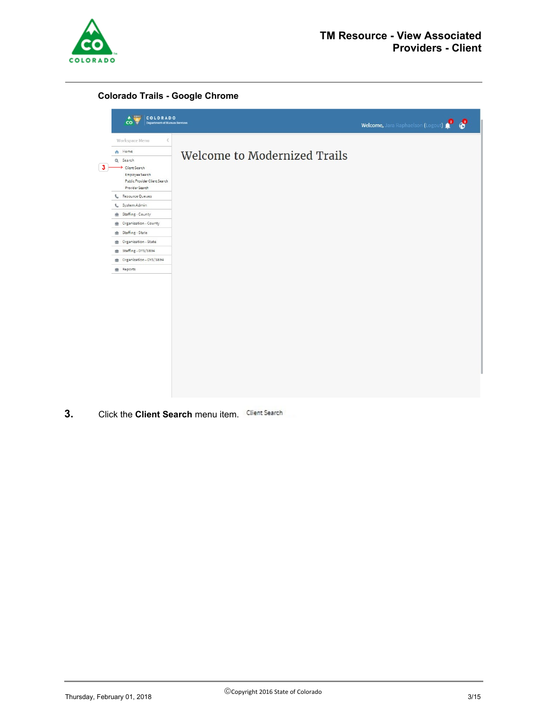

## **Colorado Trails - Google Chrome**

| $A \frac{const}{2}$<br>COLORADO<br><b>Department of Human Services</b><br>co                     |                              | Welcome, Jara Raphaelson (Logout) 4 6 |
|--------------------------------------------------------------------------------------------------|------------------------------|---------------------------------------|
| Workspace Menu<br>ぐ                                                                              |                              |                                       |
| Home<br>٨                                                                                        | Welcome to Modernized Trails |                                       |
| Q Search<br>Client Search<br>Employee Search<br>Public Provider Client Search<br>Provider Search |                              |                                       |
| Resource Queues<br>L                                                                             |                              |                                       |
| System Admin                                                                                     |                              |                                       |
| Staffing - County                                                                                |                              |                                       |
| Organization - County                                                                            |                              |                                       |
| <b>B</b> Staffing - State                                                                        |                              |                                       |
| Organization - State                                                                             |                              |                                       |
| Staffing - DYS/SB94                                                                              |                              |                                       |
| Organization - DYS/SB94                                                                          |                              |                                       |
| <b>Reports</b>                                                                                   |                              |                                       |
|                                                                                                  |                              |                                       |
|                                                                                                  |                              |                                       |

**3.** Click the **Client Search** menu item.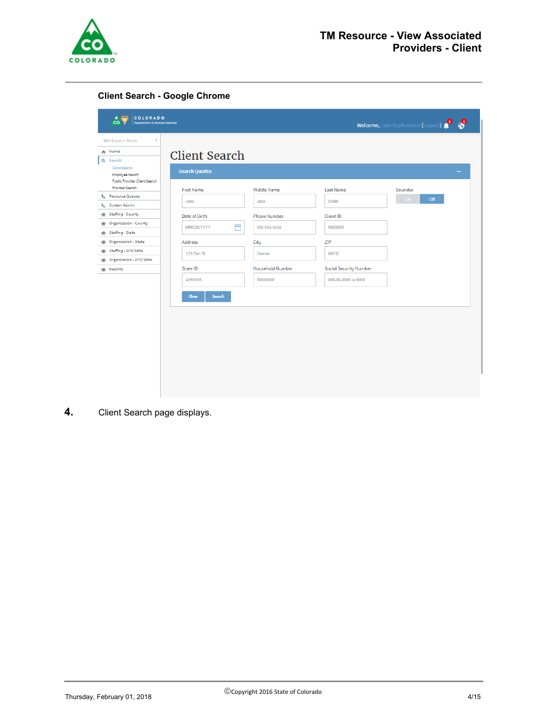

| A SONS COLORADO<br><b>Department of Human Services</b><br>co                                  |                                               |                                     |                                                      | Welcome, Jara Raphaelson (Logout) |
|-----------------------------------------------------------------------------------------------|-----------------------------------------------|-------------------------------------|------------------------------------------------------|-----------------------------------|
| <b>Workspace Menu</b><br>$\,<\,$<br>令 Home<br>Q Search<br><b>Client Search</b>                | <b>Client Search</b><br><b>Search Queries</b> |                                     |                                                      | -                                 |
| <b>Employee Search</b><br>Public Provider Client Search<br>Provider Search<br>Resource Queues | <b>First Name</b>                             | Middle Name                         | Last Name                                            | Soundex                           |
| System Admin<br>◟                                                                             | Jane                                          | Jane                                | Smith                                                | Off<br>On                         |
| Staffing - County<br><b>M</b> Organization - County                                           | Date of Birth<br>瞢<br><b>MM/DD/YYYY</b>       | <b>Phone Number</b><br>555-555-5555 | Client ID<br>0000000                                 |                                   |
| Staffing - State<br>ŵ<br>Organization - State<br>ŵ                                            | <b>Address</b>                                | City                                | ZIP                                                  |                                   |
| Staffing - DYS/SB94<br>Organization - DYS/SB94<br>ala.                                        | 123 Elm St                                    | Denver                              | 80132                                                |                                   |
| <b>Reports</b>                                                                                | State ID<br>A555555                           | <b>Household Number</b><br>00000000 | <b>Social Security Number</b><br>000-00-0000 or 0000 |                                   |
|                                                                                               | <b>Search</b><br>Clear                        |                                     |                                                      |                                   |
|                                                                                               |                                               |                                     |                                                      |                                   |
|                                                                                               |                                               |                                     |                                                      |                                   |
|                                                                                               |                                               |                                     |                                                      |                                   |
|                                                                                               |                                               |                                     |                                                      |                                   |
|                                                                                               |                                               |                                     |                                                      |                                   |

**4.** Client Search page displays.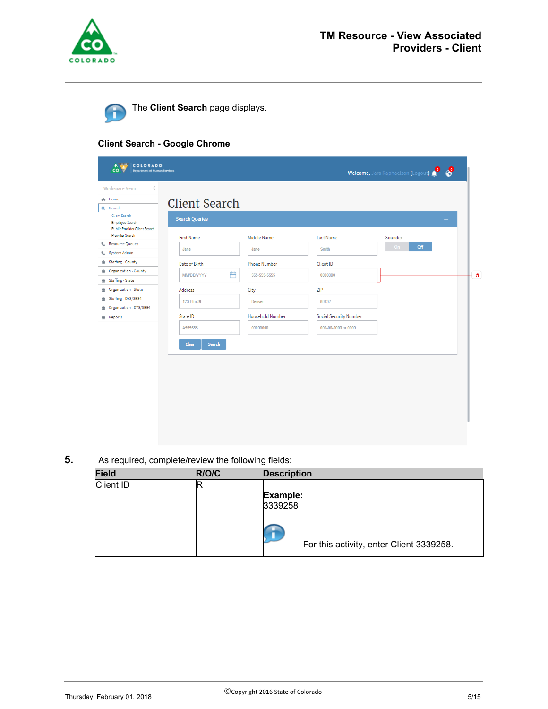



| A CONS<br>COLORADO<br>$\overline{co}$ $\overline{f}$<br><b>Department of Human Services</b> |                               |                         |                               | Welcome, Jara Raphaelson (Logout) |  |
|---------------------------------------------------------------------------------------------|-------------------------------|-------------------------|-------------------------------|-----------------------------------|--|
| <b>Workspace Menu</b><br>令 Home<br>Q Search                                                 | <b>Client Search</b>          |                         |                               |                                   |  |
| Client Search<br><b>Employee Search</b><br>Public Provider Client Search                    | <b>Search Queries</b>         |                         |                               |                                   |  |
| <b>Provider Search</b>                                                                      | <b>First Name</b>             | Middle Name             | Last Name                     | Soundex                           |  |
| Resource Queues<br>╰                                                                        | Jane                          | Jane                    | Smith                         | Off<br>On                         |  |
| System Admin                                                                                |                               |                         |                               |                                   |  |
| 曲 Staffing - County                                                                         | Date of Birth                 | <b>Phone Number</b>     | Client ID                     |                                   |  |
| <b>Organization - County</b>                                                                | 屵<br><b>MM/DD/YYYY</b>        | 555-555-5555            | 0000000                       |                                   |  |
| 曲 Staffing - State                                                                          |                               |                         |                               |                                   |  |
| <b>M</b> Organization - State                                                               | Address                       | City                    | ZIP                           |                                   |  |
| 曲 Staffing - DYS/SB94                                                                       | 123 Elm St                    | Denver                  | 80132                         |                                   |  |
| <b>M</b> Organization - DYS/SB94                                                            |                               |                         |                               |                                   |  |
| <b>Reports</b>                                                                              | State ID                      | <b>Household Number</b> | <b>Social Security Number</b> |                                   |  |
|                                                                                             | A555555                       | 00000000                | 000-00-0000 or 0000           |                                   |  |
|                                                                                             | <b>Search</b><br><b>Clear</b> |                         |                               |                                   |  |
|                                                                                             |                               |                         |                               |                                   |  |
|                                                                                             |                               |                         |                               |                                   |  |
|                                                                                             |                               |                         |                               |                                   |  |
|                                                                                             |                               |                         |                               |                                   |  |
|                                                                                             |                               |                         |                               |                                   |  |
|                                                                                             |                               |                         |                               |                                   |  |
|                                                                                             |                               |                         |                               |                                   |  |
|                                                                                             |                               |                         |                               |                                   |  |
|                                                                                             |                               |                         |                               |                                   |  |
|                                                                                             |                               |                         |                               |                                   |  |

**5.** As required, complete/review the following fields:

| <b>Field</b> | R/O/C | <b>Description</b>                                              |
|--------------|-------|-----------------------------------------------------------------|
| Client ID    |       | Example:<br>3339258<br>For this activity, enter Client 3339258. |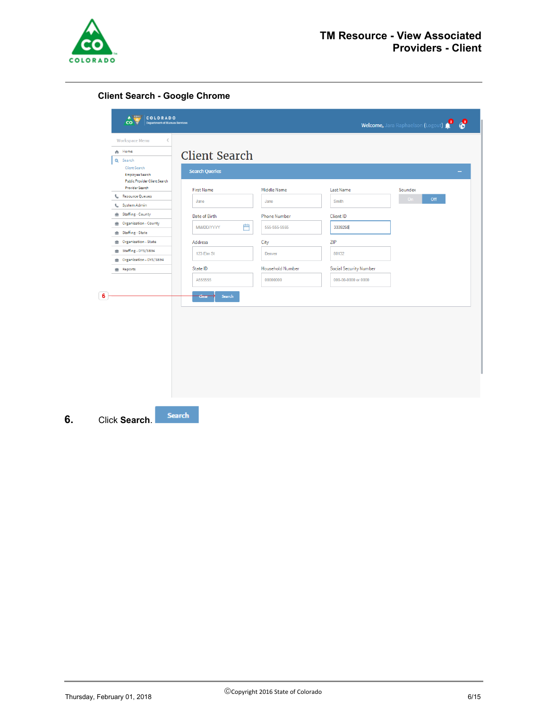

| <b>Workspace Menu</b><br>$\lt$<br>令 Home<br><b>Client Search</b><br>Q Search<br>Client Search<br><b>Search Queries</b><br>Employee Search<br>Public Provider Client Search<br><b>Provider Search</b><br><b>First Name</b><br>Middle Name<br>Last Name<br>Soundex<br>Resource Queues<br>$_ 0n $<br>Smith<br>Jane<br>Jane<br>System Admin<br><b>曲</b> Staffing - County<br>Date of Birth<br><b>Phone Number</b><br>Client ID<br><b>M</b> Organization - County<br>Ë<br>555-555-5555<br><b>MM/DD/YYYY</b><br>3339258<br><b>B</b> Staffing - State<br><b>Organization - State</b><br>ZIP<br>Address<br>City<br>曲 Staffing - DYS/SB94<br>123 Elm St<br>80132<br><b>Denver</b><br><b>M</b> Organization - DYS/SB94<br><b>Household Number</b><br><b>Social Security Number</b><br>State ID<br><b>Reports</b><br>A555555<br>000-00-0000 or 0000<br>00000000<br>$6^{\circ}$<br>Search<br>Clear | Welcome, Jara Raphaelson (Logout) |
|----------------------------------------------------------------------------------------------------------------------------------------------------------------------------------------------------------------------------------------------------------------------------------------------------------------------------------------------------------------------------------------------------------------------------------------------------------------------------------------------------------------------------------------------------------------------------------------------------------------------------------------------------------------------------------------------------------------------------------------------------------------------------------------------------------------------------------------------------------------------------------------|-----------------------------------|
|                                                                                                                                                                                                                                                                                                                                                                                                                                                                                                                                                                                                                                                                                                                                                                                                                                                                                        |                                   |
|                                                                                                                                                                                                                                                                                                                                                                                                                                                                                                                                                                                                                                                                                                                                                                                                                                                                                        |                                   |
|                                                                                                                                                                                                                                                                                                                                                                                                                                                                                                                                                                                                                                                                                                                                                                                                                                                                                        |                                   |
|                                                                                                                                                                                                                                                                                                                                                                                                                                                                                                                                                                                                                                                                                                                                                                                                                                                                                        |                                   |
|                                                                                                                                                                                                                                                                                                                                                                                                                                                                                                                                                                                                                                                                                                                                                                                                                                                                                        | Off                               |
|                                                                                                                                                                                                                                                                                                                                                                                                                                                                                                                                                                                                                                                                                                                                                                                                                                                                                        |                                   |
|                                                                                                                                                                                                                                                                                                                                                                                                                                                                                                                                                                                                                                                                                                                                                                                                                                                                                        |                                   |
|                                                                                                                                                                                                                                                                                                                                                                                                                                                                                                                                                                                                                                                                                                                                                                                                                                                                                        |                                   |
|                                                                                                                                                                                                                                                                                                                                                                                                                                                                                                                                                                                                                                                                                                                                                                                                                                                                                        |                                   |
|                                                                                                                                                                                                                                                                                                                                                                                                                                                                                                                                                                                                                                                                                                                                                                                                                                                                                        |                                   |
|                                                                                                                                                                                                                                                                                                                                                                                                                                                                                                                                                                                                                                                                                                                                                                                                                                                                                        |                                   |
|                                                                                                                                                                                                                                                                                                                                                                                                                                                                                                                                                                                                                                                                                                                                                                                                                                                                                        |                                   |
|                                                                                                                                                                                                                                                                                                                                                                                                                                                                                                                                                                                                                                                                                                                                                                                                                                                                                        |                                   |
|                                                                                                                                                                                                                                                                                                                                                                                                                                                                                                                                                                                                                                                                                                                                                                                                                                                                                        |                                   |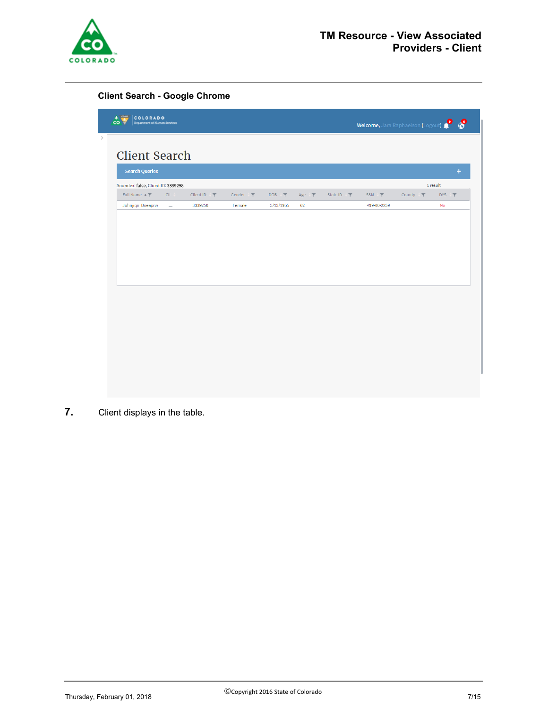

| CII<br>$ClientID \top$<br>Gender T<br>DOB T<br>State ID T<br>SSN T<br>County $\P$<br>Age $\top$<br>3339258<br>Female<br>3/13/1955<br>62<br>499-00-2259<br>$\sim$ | Full Name $\triangleq \overline{\Upsilon}$<br>Johnjign Doeaprw | DYS<br>No |  |  |
|------------------------------------------------------------------------------------------------------------------------------------------------------------------|----------------------------------------------------------------|-----------|--|--|
|                                                                                                                                                                  |                                                                |           |  |  |
|                                                                                                                                                                  |                                                                |           |  |  |
|                                                                                                                                                                  |                                                                |           |  |  |
|                                                                                                                                                                  |                                                                |           |  |  |
|                                                                                                                                                                  |                                                                |           |  |  |
|                                                                                                                                                                  |                                                                |           |  |  |
|                                                                                                                                                                  |                                                                |           |  |  |
|                                                                                                                                                                  |                                                                |           |  |  |
|                                                                                                                                                                  |                                                                |           |  |  |
|                                                                                                                                                                  |                                                                |           |  |  |
|                                                                                                                                                                  |                                                                |           |  |  |
|                                                                                                                                                                  |                                                                |           |  |  |
|                                                                                                                                                                  |                                                                |           |  |  |
|                                                                                                                                                                  |                                                                |           |  |  |
|                                                                                                                                                                  |                                                                |           |  |  |
|                                                                                                                                                                  |                                                                |           |  |  |
|                                                                                                                                                                  |                                                                |           |  |  |
|                                                                                                                                                                  |                                                                |           |  |  |

**7.** Client displays in the table.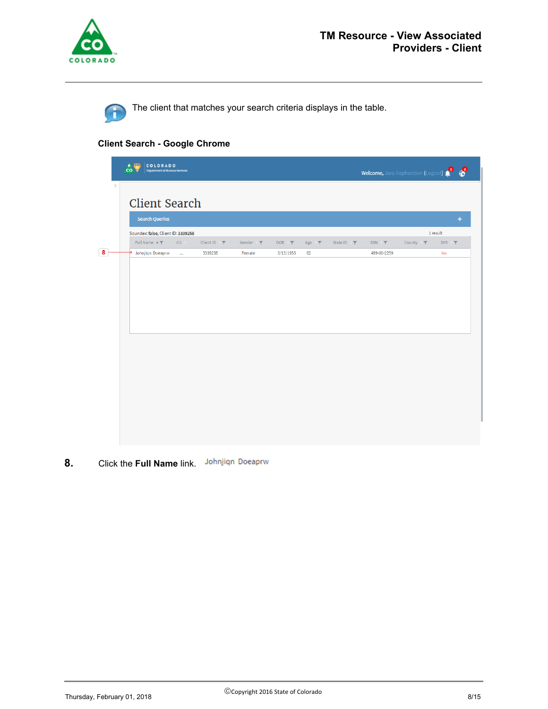

п

The client that matches your search criteria displays in the table.

## **Client Search - Google Chrome**

| <b>Client Search</b><br><b>Search Queries</b><br>Soundex: false, Client ID: 3339258 |                 |               |           |            |            |             |               |                 |   |
|-------------------------------------------------------------------------------------|-----------------|---------------|-----------|------------|------------|-------------|---------------|-----------------|---|
|                                                                                     |                 |               |           |            |            |             |               |                 |   |
|                                                                                     |                 |               |           |            |            |             |               |                 | ÷ |
| Full Name $\angle$ $\P$<br>CII                                                      | $ClientID \top$ | Gender $\top$ | DOB T     | Age $\top$ | State ID T | SSN T       | County $\top$ | 1 result<br>DYS |   |
| Johnjign Doeaprw<br>$\overline{\phantom{a}}$                                        | 3339258         | Female        | 3/13/1955 | 62         |            | 499-00-2259 |               | No              |   |
|                                                                                     |                 |               |           |            |            |             |               |                 |   |
|                                                                                     |                 |               |           |            |            |             |               |                 |   |
|                                                                                     |                 |               |           |            |            |             |               |                 |   |
|                                                                                     |                 |               |           |            |            |             |               |                 |   |
|                                                                                     |                 |               |           |            |            |             |               |                 |   |
|                                                                                     |                 |               |           |            |            |             |               |                 |   |
|                                                                                     |                 |               |           |            |            |             |               |                 |   |
|                                                                                     |                 |               |           |            |            |             |               |                 |   |
|                                                                                     |                 |               |           |            |            |             |               |                 |   |
|                                                                                     |                 |               |           |            |            |             |               |                 |   |
|                                                                                     |                 |               |           |            |            |             |               |                 |   |
|                                                                                     |                 |               |           |            |            |             |               |                 |   |

**8.** Click the **Full Name** link.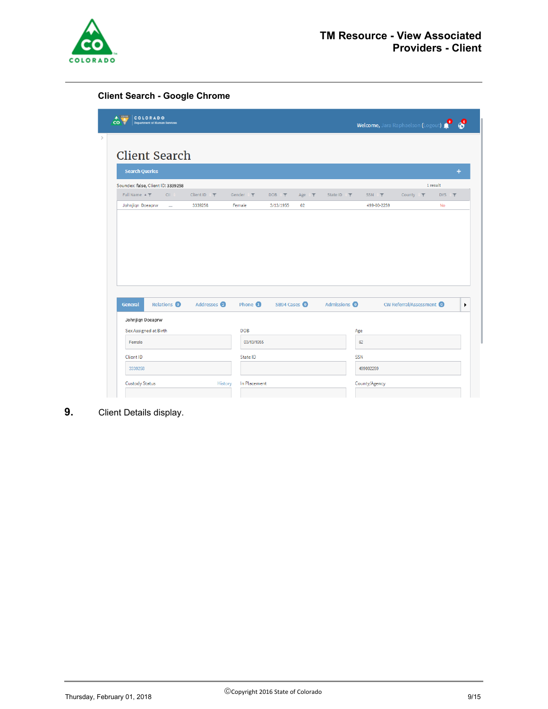

| co<br><b>Department of Human Services</b>               |                                     |                    |            |            |                         |            |               | Welcome, Jara Raphaelson (Logout) (CO |          |     |
|---------------------------------------------------------|-------------------------------------|--------------------|------------|------------|-------------------------|------------|---------------|---------------------------------------|----------|-----|
| <b>Client Search</b>                                    |                                     |                    |            |            |                         |            |               |                                       |          |     |
| <b>Search Queries</b>                                   |                                     |                    |            |            |                         |            |               |                                       |          | ٠   |
| Soundex: false, Client ID: 3339258                      |                                     |                    |            |            |                         |            |               |                                       | 1 result |     |
| Full Name $\sqrt{2}$<br>CII.                            | Gender <b>T</b><br>Client ID $\top$ | $DOB$ $\top$       |            | Age $\top$ | State ID T              |            | $SSN$ $\top$  | County $\overline{\mathbf{T}}$        |          | DYS |
| Johnjign Doeaprw<br>3339258<br>$\overline{\phantom{a}}$ | Female                              | 3/13/1955          | 62         |            |                         |            | 499-00-2259   |                                       | No       |     |
|                                                         |                                     |                    |            |            |                         |            |               |                                       |          |     |
| <b>Relations</b> O<br><b>General</b>                    | Addresses 2                         | Phone <sup>1</sup> | SB94 Cases |            | Admissions <sup>O</sup> |            |               | CW Referral/Assessment O              |          |     |
| Johnjiqn Doeaprw                                        |                                     |                    |            |            |                         |            |               |                                       |          |     |
| Sex Assigned at Birth                                   | <b>DOB</b>                          |                    |            |            |                         | Age        |               |                                       |          |     |
| Female                                                  |                                     | 03/13/1955         |            |            |                         | 62         |               |                                       |          |     |
| Client ID                                               |                                     | State ID           |            |            |                         | <b>SSN</b> |               |                                       |          |     |
| 3339258                                                 |                                     |                    |            |            |                         |            | 499002259     |                                       |          |     |
| <b>Custody Status</b>                                   | History                             | In Placement       |            |            |                         |            | County/Agency |                                       |          |     |

**9.** Client Details display.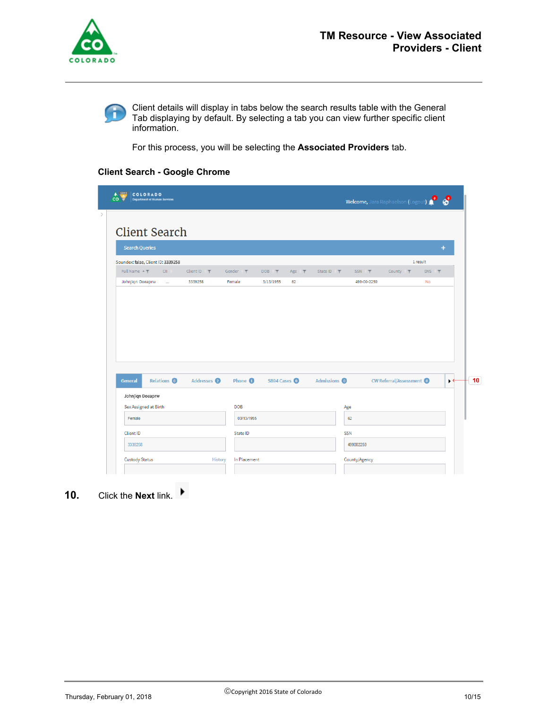



Client details will display in tabs below the search results table with the General Tab displaying by default. By selecting a tab you can view further specific client information.

For this process, you will be selecting the **Associated Providers** tab.

#### **Client Search - Google Chrome**

|                             | <b>Client Search</b>               |                  |                    |                  |            |              |            |             |                                 |          |     |   |
|-----------------------------|------------------------------------|------------------|--------------------|------------------|------------|--------------|------------|-------------|---------------------------------|----------|-----|---|
| <b>Search Queries</b>       |                                    |                  |                    |                  |            |              |            |             |                                 |          |     | ÷ |
|                             | Soundex: false, Client ID: 3339258 |                  |                    |                  |            |              |            |             |                                 | 1 result |     |   |
| Full Name $\triangleq \top$ | CII.                               | Client ID $\top$ | Gender <b>T</b>    | DOB <sub>T</sub> | Age $\top$ | State ID T   |            | SSN T       | County $\overline{\mathbf{T}}$  |          | DYS |   |
| Johnjiqn Doeaprw            | $\overline{\phantom{a}}$           | 3339258          | Female             | 3/13/1955        | 62         |              |            | 499-00-2259 |                                 |          | No  |   |
|                             |                                    |                  |                    |                  |            |              |            |             |                                 |          |     |   |
| General                     | <b>Relations</b> O                 | Addresses 2      | Phone <sup>1</sup> | SB94 Cases 0     |            | Admissions O |            |             | <b>CW Referral/Assessment O</b> |          |     | ٠ |
| Johnjiqn Doeaprw            |                                    |                  |                    |                  |            |              |            |             |                                 |          |     |   |
| Sex Assigned at Birth       |                                    |                  | DOB                |                  |            |              | Age        |             |                                 |          |     |   |
| Female                      |                                    |                  | 03/13/1955         |                  |            |              | 62         |             |                                 |          |     |   |
| <b>Client ID</b>            |                                    |                  | State ID           |                  |            |              | <b>SSN</b> |             |                                 |          |     |   |

**10.** Click the **Next** link.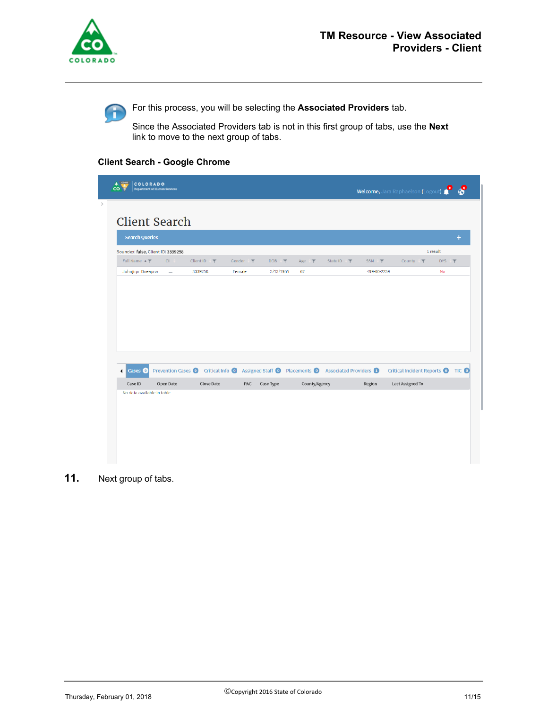



For this process, you will be selecting the **Associated Providers** tab.

Since the Associated Providers tab is not in this first group of tabs, use the **Next** link to move to the next group of tabs.

### **Client Search - Google Chrome**

| <b>Client Search</b><br><b>Search Queries</b> | Soundex: false, Client ID: 3339258 |                                                                                              |          |                  |               |            |        |             |                                   | 1 result | ÷   |
|-----------------------------------------------|------------------------------------|----------------------------------------------------------------------------------------------|----------|------------------|---------------|------------|--------|-------------|-----------------------------------|----------|-----|
| Full Name $\triangleq \top$                   | CII.                               | Client ID $\top$                                                                             | Gender T | DOB <sub>T</sub> | Age $\top$    | State ID ▼ | SSN T  |             | County $\top$                     |          | DYS |
| Johnjign Doeaprw                              | L.                                 | 3339258                                                                                      | Female   | 3/13/1955        | 62            |            |        | 499-00-2259 |                                   | No       |     |
|                                               |                                    |                                                                                              |          |                  |               |            |        |             |                                   |          |     |
| Cases O<br>◀                                  |                                    | Prevention Cases (O Critical Info (O Assigned Staff (O Placements (O Associated Providers (O |          |                  |               |            |        |             | Critical Incident Reports O TIC O |          |     |
| Case ID                                       | Open Date                          | Close Date                                                                                   | PAC      | Case Type        | County/Agency |            | Region |             | Last Assigned To                  |          |     |
| No data available in table                    |                                    |                                                                                              |          |                  |               |            |        |             |                                   |          |     |

**11.** Next group of tabs.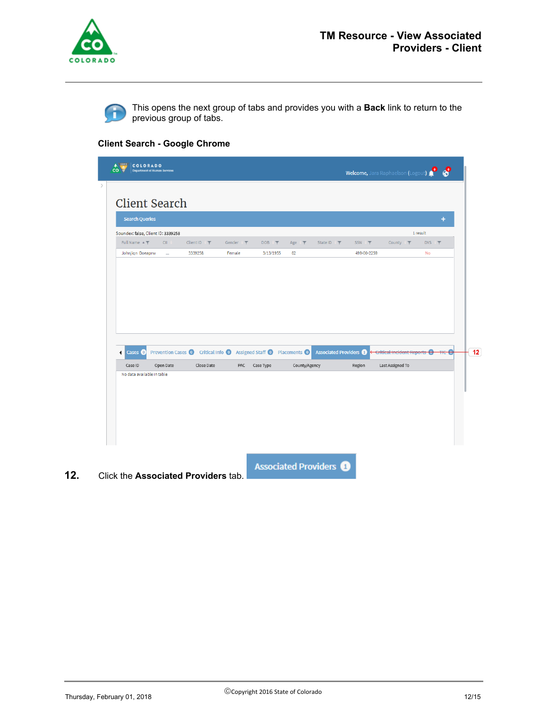



This opens the next group of tabs and provides you with a **Back** link to return to the previous group of tabs.

## **Client Search - Google Chrome**

| Soundex: false, Client ID: 3339258<br>Full Name $\triangleq$ $\blacktriangledown$ | CII                      | Client ID $\top$                                                    | Gender <b>T</b> | DOB <sub>T</sub> | Age T         | State ID T                  | SSN T       | County $\top$                 | 1 result<br>DYS |                                 |
|-----------------------------------------------------------------------------------|--------------------------|---------------------------------------------------------------------|-----------------|------------------|---------------|-----------------------------|-------------|-------------------------------|-----------------|---------------------------------|
| Johnjign Doeaprw                                                                  | $\overline{\phantom{a}}$ | 3339258                                                             | Female          | 3/13/1955        | 62            |                             | 499-00-2259 |                               | No              |                                 |
|                                                                                   |                          |                                                                     |                 |                  |               |                             |             |                               |                 |                                 |
| Cases <sup>O</sup><br>◀                                                           |                          | Prevention Cases (O Critical Info (O Assigned Staff (O Placements O |                 |                  |               | <b>Associated Providers</b> |             | ← Critical Incident Reports + |                 | $\overline{m}$ e $\overline{m}$ |
| Case ID                                                                           | Open Date                | Close Date                                                          | <b>PAC</b>      | Case Type        | County/Agency |                             | Region      | Last Assigned To              |                 |                                 |
|                                                                                   |                          |                                                                     |                 |                  |               |                             |             |                               |                 |                                 |
| No data available in table                                                        |                          |                                                                     |                 |                  |               |                             |             |                               |                 |                                 |

**12.** Click the **Associated Providers** tab.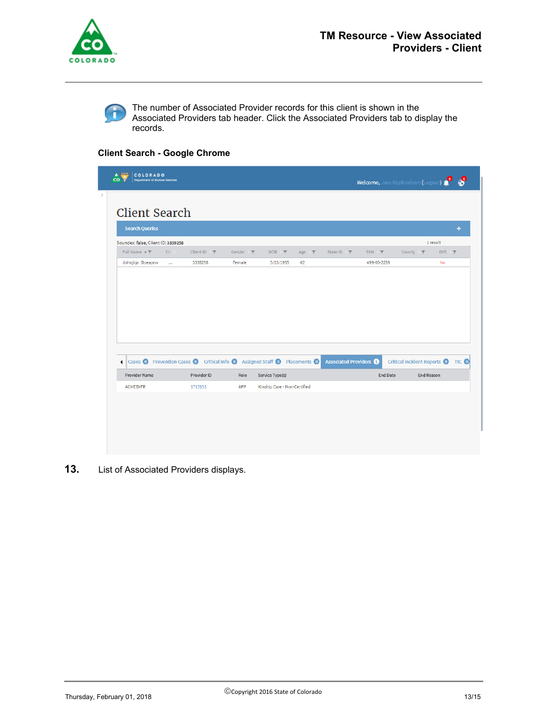



The number of Associated Provider records for this client is shown in the Associated Providers tab header. Click the Associated Providers tab to display the records.

### **Client Search - Google Chrome**

| <b>Search Queries</b><br>Soundex: false, Client ID: 3339258                                                          |                          |                  |               |                 |            |                             |              |          |                                                 |            | 1 result | ٠ |
|----------------------------------------------------------------------------------------------------------------------|--------------------------|------------------|---------------|-----------------|------------|-----------------------------|--------------|----------|-------------------------------------------------|------------|----------|---|
| Full Name $\triangleq \blacktriangledown$                                                                            | CII.                     | Client ID $\top$ | Gender $\top$ | $DOB$ $\top$    | Age $\top$ | State ID T                  | $SSN$ $\top$ |          | County $\overline{\mathbf{T}}$                  |            | DYS      |   |
| Johnjign Doeaprw                                                                                                     | $\overline{\phantom{m}}$ | 3339258          | Female        | 3/13/1955       | 62         |                             | 499-00-2259  |          |                                                 |            | No       |   |
|                                                                                                                      |                          |                  |               |                 |            |                             |              |          |                                                 |            |          |   |
| Cases <sup>O</sup> Prevention Cases <sup>O</sup> Critical Info <sup>O</sup> Assigned Staff <sup>O</sup> Placements O |                          |                  |               |                 |            | <b>Associated Providers</b> |              |          | Critical Incident Reports <b>O</b> TIC <b>O</b> |            |          |   |
| Provider Name                                                                                                        |                          | Provider ID      | Role          | Service Type(s) |            |                             |              | End Date |                                                 | End Reason |          |   |

**13.** List of Associated Providers displays.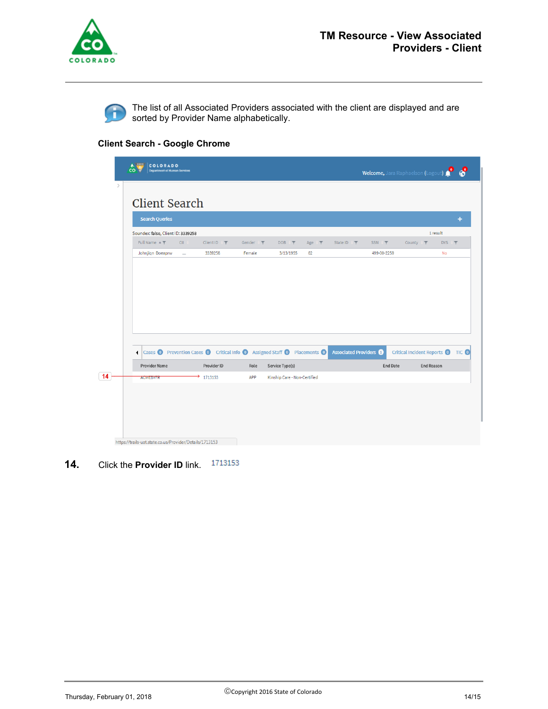



The list of all Associated Providers associated with the client are displayed and are sorted by Provider Name alphabetically.

## **Client Search - Google Chrome**

| <b>Search Queries</b>                                                                            |                          |                  |               |                  |    |            |                             |              |                 |                                   |                 |
|--------------------------------------------------------------------------------------------------|--------------------------|------------------|---------------|------------------|----|------------|-----------------------------|--------------|-----------------|-----------------------------------|-----------------|
| Soundex: false, Client ID: 3339258<br>Full Name $\triangleq$ $\P$                                | CII.                     | Client ID $\top$ | Gender $\top$ | DOB <sub>T</sub> |    | Age $\top$ | State ID ▼                  | $SSN$ $\top$ |                 | County $\top$                     | 1 result<br>DYS |
| Johnjign Doeaprw                                                                                 | $\overline{\phantom{a}}$ | 3339258          | Female        | 3/13/1955        | 62 |            |                             | 499-00-2259  |                 |                                   | No              |
|                                                                                                  |                          |                  |               |                  |    |            |                             |              |                 |                                   |                 |
|                                                                                                  |                          |                  |               |                  |    |            |                             |              |                 |                                   |                 |
| Cases O Prevention Cases O Critical Info O Assigned Staff O Placements O<br><b>Provider Name</b> |                          | Provider ID      | Role          | Service Type(s)  |    |            | <b>Associated Providers</b> |              | <b>End Date</b> | Critical Incident Reports O TIC O | End Reason      |

**14.** Click the **Provider ID** link.